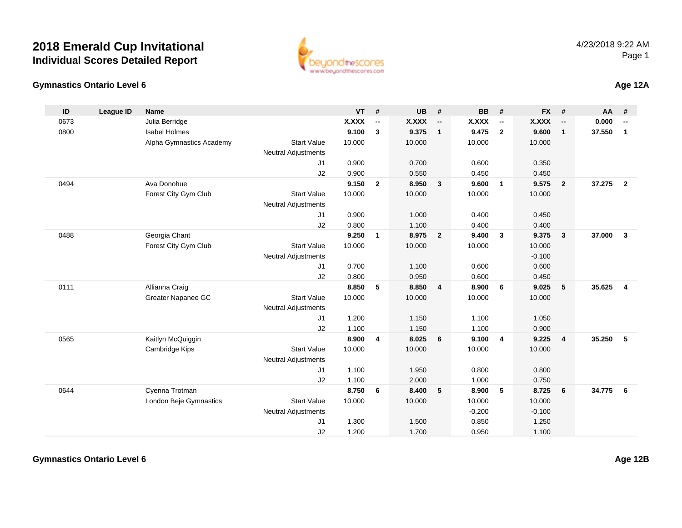

**ID**

0673

0800

0494

0488

0111

0565

0644



Kaitlyn McQuiggin **8.900 <sup>4</sup> 8.025 <sup>6</sup> 9.100 <sup>4</sup> 9.225 <sup>4</sup> 35.250 <sup>5</sup>**

Cyenna Trotman **8.750 <sup>6</sup> 8.400 <sup>5</sup> 8.900 <sup>5</sup> 8.725 <sup>6</sup> 34.775 <sup>6</sup>**

Start Value

Start Value

J1

J2

J1

J2

Neutral Adjustments

Neutral Adjustments

| D   | League ID | <b>Name</b>              |                            | <b>VT</b> | #                        | <b>UB</b> | #                        | <b>BB</b> | #                        | FX #     |                          | AA #   |                         |
|-----|-----------|--------------------------|----------------------------|-----------|--------------------------|-----------|--------------------------|-----------|--------------------------|----------|--------------------------|--------|-------------------------|
| 673 |           | Julia Berridge           |                            | X.XXX     | $\overline{\phantom{a}}$ | X.XXX     | $\overline{\phantom{a}}$ | X.XXX     | $\overline{\phantom{a}}$ | X.XXX    | $\overline{\phantom{a}}$ | 0.000  |                         |
| 300 |           | <b>Isabel Holmes</b>     |                            | 9.100     | 3                        | 9.375     | $\mathbf{1}$             | 9.475     | $\overline{2}$           | 9.600    | 1                        | 37.550 | $\mathbf 1$             |
|     |           | Alpha Gymnastics Academy | <b>Start Value</b>         | 10.000    |                          | 10.000    |                          | 10.000    |                          | 10.000   |                          |        |                         |
|     |           |                          | <b>Neutral Adjustments</b> |           |                          |           |                          |           |                          |          |                          |        |                         |
|     |           |                          | J1                         | 0.900     |                          | 0.700     |                          | 0.600     |                          | 0.350    |                          |        |                         |
|     |           |                          | J <sub>2</sub>             | 0.900     |                          | 0.550     |                          | 0.450     |                          | 0.450    |                          |        |                         |
| 194 |           | Ava Donohue              |                            | 9.150     | $\overline{2}$           | 8.950     | -3                       | 9.600     | $\overline{1}$           | 9.575    | $\overline{2}$           | 37.275 | $\overline{\mathbf{2}}$ |
|     |           | Forest City Gym Club     | <b>Start Value</b>         | 10.000    |                          | 10.000    |                          | 10.000    |                          | 10.000   |                          |        |                         |
|     |           |                          | Neutral Adjustments        |           |                          |           |                          |           |                          |          |                          |        |                         |
|     |           |                          | J1                         | 0.900     |                          | 1.000     |                          | 0.400     |                          | 0.450    |                          |        |                         |
|     |           |                          | J <sub>2</sub>             | 0.800     |                          | 1.100     |                          | 0.400     |                          | 0.400    |                          |        |                         |
| 88  |           | Georgia Chant            |                            | 9.250     | 1                        | 8.975     | $\mathbf{2}$             | 9.400     | 3                        | 9.375    | 3                        | 37.000 | -3                      |
|     |           | Forest City Gym Club     | <b>Start Value</b>         | 10.000    |                          | 10.000    |                          | 10.000    |                          | 10.000   |                          |        |                         |
|     |           |                          | Neutral Adjustments        |           |                          |           |                          |           |                          | $-0.100$ |                          |        |                         |
|     |           |                          | J <sub>1</sub>             | 0.700     |                          | 1.100     |                          | 0.600     |                          | 0.600    |                          |        |                         |
|     |           |                          | J <sub>2</sub>             | 0.800     |                          | 0.950     |                          | 0.600     |                          | 0.450    |                          |        |                         |
| 11  |           | Allianna Craig           |                            | 8.850     | 5                        | 8.850     | $\overline{\mathbf{4}}$  | 8.900     | 6                        | 9.025    | 5                        | 35.625 | 4                       |
|     |           | Greater Napanee GC       | <b>Start Value</b>         | 10.000    |                          | 10.000    |                          | 10.000    |                          | 10.000   |                          |        |                         |
|     |           |                          | <b>Neutral Adjustments</b> |           |                          |           |                          |           |                          |          |                          |        |                         |
|     |           |                          | J <sub>1</sub>             | 1.200     |                          | 1.150     |                          | 1.100     |                          | 1.050    |                          |        |                         |
|     |           |                          | J2                         | 1.100     |                          | 1.150     |                          | 1.100     |                          | 0.900    |                          |        |                         |
|     |           |                          |                            |           |                          |           |                          |           |                          |          |                          |        |                         |

e 10.000 10.000 10.000 10.000

1.100 1.950 0.800 0.800

1.100 2.000 1.000 0.750

e 10.000 10.000 10.000 10.000

1.300 1.500 0.850 1.250

1.200 1.700 0.950 1.100

-0.200 -0.100<br>0.850 1.250

 $-0.200$ 

#### **Gymnastics Ontario Level 6**

Cambridge Kips

London Beje Gymnastics

**Age 12B**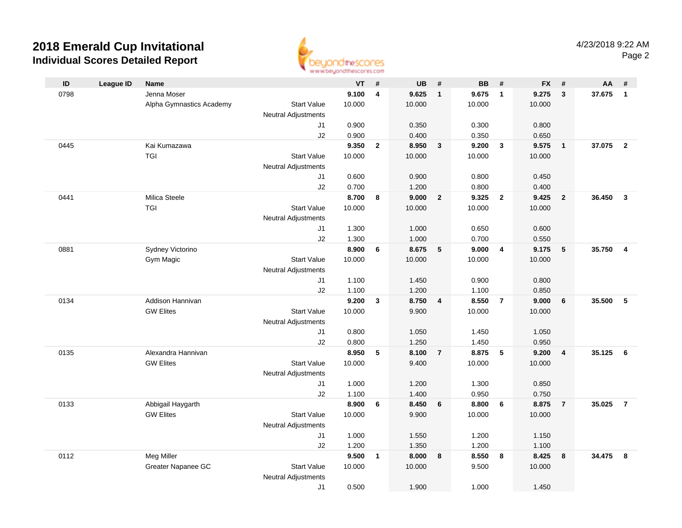

| ID   | <b>League ID</b> | Name                                  |                            | VT             | #                       | <b>UB</b>      | #                       | <b>BB</b>      | #                       | <b>FX</b>      | #                       | AA     | #              |
|------|------------------|---------------------------------------|----------------------------|----------------|-------------------------|----------------|-------------------------|----------------|-------------------------|----------------|-------------------------|--------|----------------|
| 0798 |                  | Jenna Moser                           |                            | 9.100          | $\overline{\mathbf{4}}$ | 9.625          | $\mathbf{1}$            | 9.675          | $\overline{1}$          | 9.275          | $\mathbf{3}$            | 37.675 | $\mathbf{1}$   |
|      |                  | Alpha Gymnastics Academy              | <b>Start Value</b>         | 10.000         |                         | 10.000         |                         | 10.000         |                         | 10.000         |                         |        |                |
|      |                  |                                       | <b>Neutral Adjustments</b> |                |                         |                |                         |                |                         |                |                         |        |                |
|      |                  |                                       | J1                         | 0.900          |                         | 0.350          |                         | 0.300          |                         | 0.800          |                         |        |                |
|      |                  |                                       | J2                         | 0.900          |                         | 0.400          |                         | 0.350          |                         | 0.650          |                         |        |                |
| 0445 |                  | Kai Kumazawa                          |                            | 9.350          | $\overline{2}$          | 8.950          | $\mathbf{3}$            | 9.200          | $\overline{\mathbf{3}}$ | 9.575          | $\overline{\mathbf{1}}$ | 37.075 | $\overline{2}$ |
|      |                  | <b>TGI</b>                            | <b>Start Value</b>         | 10.000         |                         | 10.000         |                         | 10.000         |                         | 10.000         |                         |        |                |
|      |                  |                                       | <b>Neutral Adjustments</b> |                |                         |                |                         |                |                         |                |                         |        |                |
|      |                  |                                       | J1                         | 0.600          |                         | 0.900          |                         | 0.800          |                         | 0.450          |                         |        |                |
|      |                  |                                       | J2                         | 0.700          |                         | 1.200          |                         | 0.800          |                         | 0.400          |                         |        |                |
| 0441 |                  | Milica Steele                         |                            | 8.700          | 8                       | 9.000          | $\overline{2}$          | 9.325          | $\overline{2}$          | 9.425          | $\overline{2}$          | 36.450 | $\mathbf{3}$   |
|      |                  | TGI                                   | <b>Start Value</b>         | 10.000         |                         | 10.000         |                         | 10.000         |                         | 10.000         |                         |        |                |
|      |                  |                                       | <b>Neutral Adjustments</b> |                |                         |                |                         |                |                         |                |                         |        |                |
|      |                  |                                       | J1                         | 1.300          |                         | 1.000          |                         | 0.650          |                         | 0.600          |                         |        |                |
|      |                  |                                       | J2                         | 1.300          |                         | 1.000          |                         | 0.700          |                         | 0.550          |                         |        |                |
| 0881 |                  | Sydney Victorino                      |                            | 8.900          | 6                       | 8.675          | $5\phantom{.0}$         | 9.000          | $\overline{4}$          | 9.175          | 5                       | 35.750 | $\overline{4}$ |
|      |                  | Gym Magic                             | <b>Start Value</b>         | 10.000         |                         | 10.000         |                         | 10.000         |                         | 10.000         |                         |        |                |
|      |                  |                                       | <b>Neutral Adjustments</b> |                |                         |                |                         |                |                         |                |                         |        |                |
|      |                  |                                       | J1                         | 1.100          |                         | 1.450          |                         | 0.900          |                         | 0.800          |                         |        |                |
|      |                  |                                       | J2                         | 1.100          |                         | 1.200          |                         | 1.100          |                         | 0.850          |                         |        |                |
| 0134 |                  | Addison Hannivan                      |                            | 9.200          | $\mathbf{3}$            | 8.750          | $\overline{\mathbf{4}}$ | 8.550          | $\overline{7}$          | 9.000          | 6                       | 35.500 | 5              |
|      |                  | <b>GW Elites</b>                      | <b>Start Value</b>         | 10.000         |                         | 9.900          |                         | 10.000         |                         | 10.000         |                         |        |                |
|      |                  |                                       | <b>Neutral Adjustments</b> |                |                         |                |                         |                |                         |                |                         |        |                |
|      |                  |                                       | J1                         | 0.800          |                         | 1.050          |                         | 1.450          |                         | 1.050          |                         |        |                |
|      |                  |                                       | J2                         | 0.800          |                         | 1.250          |                         | 1.450          |                         | 0.950          |                         |        |                |
| 0135 |                  | Alexandra Hannivan                    |                            | 8.950          | 5                       | 8.100          | $\overline{7}$          | 8.875          | $-5$                    | 9.200          | $\overline{4}$          | 35.125 | 6              |
|      |                  | <b>GW Elites</b>                      | <b>Start Value</b>         | 10.000         |                         | 9.400          |                         | 10.000         |                         | 10.000         |                         |        |                |
|      |                  |                                       | Neutral Adjustments        |                |                         |                |                         |                |                         |                |                         |        |                |
|      |                  |                                       | J1                         | 1.000          |                         | 1.200<br>1.400 |                         | 1.300          |                         | 0.850          |                         |        |                |
| 0133 |                  |                                       | J2                         | 1.100<br>8.900 |                         | 8.450          |                         | 0.950<br>8.800 |                         | 0.750<br>8.875 |                         | 35.025 | $\overline{7}$ |
|      |                  | Abbigail Haygarth<br><b>GW Elites</b> | <b>Start Value</b>         | 10.000         | 6                       | 9.900          | 6                       | 10.000         | 6                       | 10.000         | $\overline{7}$          |        |                |
|      |                  |                                       | <b>Neutral Adjustments</b> |                |                         |                |                         |                |                         |                |                         |        |                |
|      |                  |                                       | J1                         | 1.000          |                         | 1.550          |                         | 1.200          |                         | 1.150          |                         |        |                |
|      |                  |                                       | J2                         | 1.200          |                         | 1.350          |                         | 1.200          |                         | 1.100          |                         |        |                |
| 0112 |                  | Meg Miller                            |                            | 9.500          | $\mathbf{1}$            | 8.000          | 8                       | 8.550          | 8                       | 8.425          | 8                       | 34.475 | 8              |
|      |                  | Greater Napanee GC                    | Start Value                | 10.000         |                         | 10.000         |                         | 9.500          |                         | 10.000         |                         |        |                |
|      |                  |                                       | <b>Neutral Adjustments</b> |                |                         |                |                         |                |                         |                |                         |        |                |
|      |                  |                                       | J1                         | 0.500          |                         | 1.900          |                         | 1.000          |                         | 1.450          |                         |        |                |
|      |                  |                                       |                            |                |                         |                |                         |                |                         |                |                         |        |                |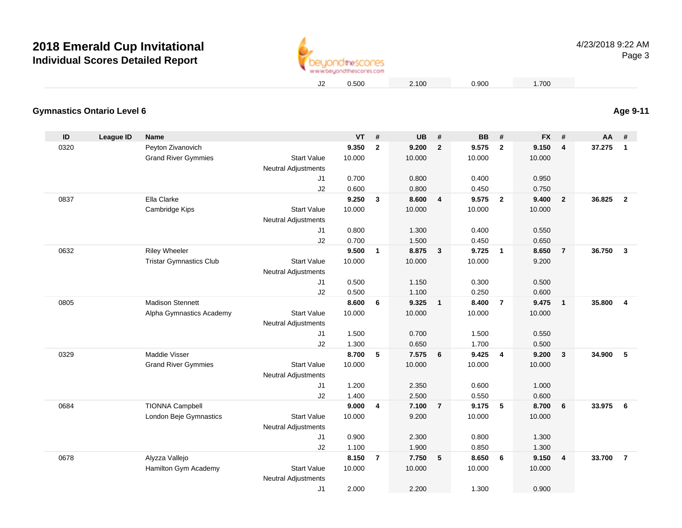

4/23/2018 9:22 AMPage 3

0.500 2.100 0.900 1.700

**Age 9-11**

### **Gymnastics Ontario Level 6**

| ID   | League ID | <b>Name</b>                    |                                           | <b>VT</b> | #              | <b>UB</b> | #                       | <b>BB</b> | #              | <b>FX</b> | #                       | $AA$ # |                         |
|------|-----------|--------------------------------|-------------------------------------------|-----------|----------------|-----------|-------------------------|-----------|----------------|-----------|-------------------------|--------|-------------------------|
| 0320 |           | Peyton Zivanovich              |                                           | 9.350     | $\mathbf{2}$   | 9.200     | $\overline{2}$          | 9.575     | $\overline{2}$ | 9.150     | $\overline{\mathbf{4}}$ | 37.275 | $\overline{1}$          |
|      |           | <b>Grand River Gymmies</b>     | <b>Start Value</b>                        | 10.000    |                | 10.000    |                         | 10.000    |                | 10.000    |                         |        |                         |
|      |           |                                | Neutral Adjustments                       |           |                |           |                         |           |                |           |                         |        |                         |
|      |           |                                | J <sub>1</sub>                            | 0.700     |                | 0.800     |                         | 0.400     |                | 0.950     |                         |        |                         |
|      |           |                                | J2                                        | 0.600     |                | 0.800     |                         | 0.450     |                | 0.750     |                         |        |                         |
| 0837 |           | Ella Clarke                    |                                           | 9.250     | $\mathbf{3}$   | 8.600     | $\overline{4}$          | 9.575     | $\overline{2}$ | 9.400     | $\overline{2}$          | 36.825 | $\overline{2}$          |
|      |           | Cambridge Kips                 | <b>Start Value</b>                        | 10.000    |                | 10.000    |                         | 10.000    |                | 10.000    |                         |        |                         |
|      |           |                                | <b>Neutral Adjustments</b>                |           |                |           |                         |           |                |           |                         |        |                         |
|      |           |                                | J1                                        | 0.800     |                | 1.300     |                         | 0.400     |                | 0.550     |                         |        |                         |
|      |           |                                | J2                                        | 0.700     |                | 1.500     |                         | 0.450     |                | 0.650     |                         |        |                         |
| 0632 |           | <b>Riley Wheeler</b>           |                                           | 9.500     | $\mathbf{1}$   | 8.875     | $\overline{\mathbf{3}}$ | 9.725     | $\overline{1}$ | 8.650     | $\overline{7}$          | 36.750 | $\overline{\mathbf{3}}$ |
|      |           | <b>Tristar Gymnastics Club</b> | <b>Start Value</b>                        | 10.000    |                | 10.000    |                         | 10.000    |                | 9.200     |                         |        |                         |
|      |           |                                | <b>Neutral Adjustments</b>                |           |                |           |                         |           |                |           |                         |        |                         |
|      |           |                                | J1                                        | 0.500     |                | 1.150     |                         | 0.300     |                | 0.500     |                         |        |                         |
|      |           |                                | J2                                        | 0.500     |                | 1.100     |                         | 0.250     |                | 0.600     |                         |        |                         |
| 0805 |           | <b>Madison Stennett</b>        |                                           | 8.600     | 6              | 9.325     | $\overline{1}$          | 8.400     | $\overline{7}$ | 9.475     | $\mathbf{1}$            | 35,800 | $\overline{4}$          |
|      |           | Alpha Gymnastics Academy       | <b>Start Value</b>                        | 10.000    |                | 10.000    |                         | 10.000    |                | 10.000    |                         |        |                         |
|      |           |                                | <b>Neutral Adjustments</b>                |           |                |           |                         |           |                |           |                         |        |                         |
|      |           |                                | J1                                        | 1.500     |                | 0.700     |                         | 1.500     |                | 0.550     |                         |        |                         |
|      |           |                                | J2                                        | 1.300     |                | 0.650     |                         | 1.700     |                | 0.500     |                         |        |                         |
| 0329 |           | <b>Maddie Visser</b>           |                                           | 8.700     | 5              | 7.575     | 6                       | 9.425     | $\overline{4}$ | 9.200     | 3                       | 34.900 | 5                       |
|      |           | <b>Grand River Gymmies</b>     | <b>Start Value</b><br>Neutral Adjustments | 10.000    |                | 10.000    |                         | 10.000    |                | 10.000    |                         |        |                         |
|      |           |                                | J1                                        | 1.200     |                | 2.350     |                         | 0.600     |                | 1.000     |                         |        |                         |
|      |           |                                | J2                                        | 1.400     |                | 2.500     |                         | 0.550     |                | 0.600     |                         |        |                         |
| 0684 |           | <b>TIONNA Campbell</b>         |                                           | 9.000     | 4              | 7.100     | $\overline{7}$          | 9.175     | 5              | 8.700     | 6                       | 33.975 | - 6                     |
|      |           | London Beje Gymnastics         | <b>Start Value</b>                        | 10.000    |                | 9.200     |                         | 10.000    |                | 10.000    |                         |        |                         |
|      |           |                                | <b>Neutral Adjustments</b>                |           |                |           |                         |           |                |           |                         |        |                         |
|      |           |                                | J1                                        | 0.900     |                | 2.300     |                         | 0.800     |                | 1.300     |                         |        |                         |
|      |           |                                | J2                                        | 1.100     |                | 1.900     |                         | 0.850     |                | 1.300     |                         |        |                         |
| 0678 |           | Alyzza Vallejo                 |                                           | 8.150     | $\overline{7}$ | 7.750     | 5                       | 8.650     | 6              | 9.150     | $\overline{4}$          | 33.700 | $\overline{7}$          |
|      |           | Hamilton Gym Academy           | <b>Start Value</b>                        | 10.000    |                | 10.000    |                         | 10.000    |                | 10.000    |                         |        |                         |
|      |           |                                | <b>Neutral Adjustments</b>                |           |                |           |                         |           |                |           |                         |        |                         |
|      |           |                                | J <sub>1</sub>                            | 2.000     |                | 2.200     |                         | 1.300     |                | 0.900     |                         |        |                         |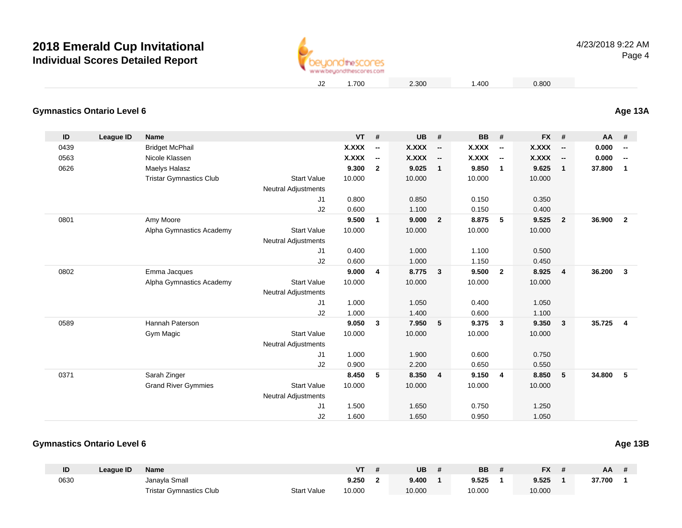

1.700 2.300 1.400 0.800

#### **Gymnastics Ontario Level 6Age 13A**

| ID   | League ID | <b>Name</b>                    |                            | $VT$ #       |                          | <b>UB</b>    | #                        | <b>BB</b>    | #                        | FX #         |                          | AA #   |                          |
|------|-----------|--------------------------------|----------------------------|--------------|--------------------------|--------------|--------------------------|--------------|--------------------------|--------------|--------------------------|--------|--------------------------|
| 0439 |           | <b>Bridget McPhail</b>         |                            | <b>X.XXX</b> | $\overline{\phantom{a}}$ | <b>X.XXX</b> | $\overline{\phantom{a}}$ | <b>X.XXX</b> | $\overline{\phantom{a}}$ | X.XXX        | $\overline{\phantom{a}}$ | 0.000  | $\overline{\phantom{a}}$ |
| 0563 |           | Nicole Klassen                 |                            | <b>X.XXX</b> | $\overline{\phantom{a}}$ | <b>X.XXX</b> | $\overline{\phantom{a}}$ | <b>X.XXX</b> | $\overline{\phantom{a}}$ | <b>X.XXX</b> | $\overline{\phantom{a}}$ | 0.000  | $\overline{\phantom{a}}$ |
| 0626 |           | Maelys Halasz                  |                            | 9.300        | $\overline{2}$           | 9.025        | $\mathbf{1}$             | 9.850        | $\mathbf{1}$             | 9.625        | $\mathbf{1}$             | 37.800 | $\mathbf{1}$             |
|      |           | <b>Tristar Gymnastics Club</b> | <b>Start Value</b>         | 10.000       |                          | 10.000       |                          | 10.000       |                          | 10.000       |                          |        |                          |
|      |           |                                | <b>Neutral Adjustments</b> |              |                          |              |                          |              |                          |              |                          |        |                          |
|      |           |                                | J1                         | 0.800        |                          | 0.850        |                          | 0.150        |                          | 0.350        |                          |        |                          |
|      |           |                                | J2                         | 0.600        |                          | 1.100        |                          | 0.150        |                          | 0.400        |                          |        |                          |
| 0801 |           | Amy Moore                      |                            | 9.500        | 1                        | 9.000        | $\overline{2}$           | 8.875        | 5                        | 9.525        | $\mathbf{2}$             | 36.900 | $\overline{2}$           |
|      |           | Alpha Gymnastics Academy       | <b>Start Value</b>         | 10.000       |                          | 10.000       |                          | 10.000       |                          | 10.000       |                          |        |                          |
|      |           |                                | <b>Neutral Adjustments</b> |              |                          |              |                          |              |                          |              |                          |        |                          |
|      |           |                                | J1                         | 0.400        |                          | 1.000        |                          | 1.100        |                          | 0.500        |                          |        |                          |
|      |           |                                | J2                         | 0.600        |                          | 1.000        |                          | 1.150        |                          | 0.450        |                          |        |                          |
| 0802 |           | Emma Jacques                   |                            | 9.000        | $\overline{4}$           | 8.775        | $\overline{\mathbf{3}}$  | 9.500        | $\overline{2}$           | 8.925        | $\overline{\mathbf{4}}$  | 36.200 | 3                        |
|      |           | Alpha Gymnastics Academy       | <b>Start Value</b>         | 10.000       |                          | 10.000       |                          | 10.000       |                          | 10.000       |                          |        |                          |
|      |           |                                | <b>Neutral Adjustments</b> |              |                          |              |                          |              |                          |              |                          |        |                          |
|      |           |                                | J1                         | 1.000        |                          | 1.050        |                          | 0.400        |                          | 1.050        |                          |        |                          |
|      |           |                                | J2                         | 1.000        |                          | 1.400        |                          | 0.600        |                          | 1.100        |                          |        |                          |
| 0589 |           | Hannah Paterson                |                            | 9.050        | $\mathbf{3}$             | 7.950        | 5                        | 9.375        | $\overline{\mathbf{3}}$  | 9.350        | 3                        | 35.725 | 4                        |
|      |           | Gym Magic                      | <b>Start Value</b>         | 10.000       |                          | 10.000       |                          | 10.000       |                          | 10.000       |                          |        |                          |
|      |           |                                | <b>Neutral Adjustments</b> |              |                          |              |                          |              |                          |              |                          |        |                          |
|      |           |                                | J1                         | 1.000        |                          | 1.900        |                          | 0.600        |                          | 0.750        |                          |        |                          |
|      |           |                                | J2                         | 0.900        |                          | 2.200        |                          | 0.650        |                          | 0.550        |                          |        |                          |
| 0371 |           | Sarah Zinger                   |                            | 8.450        | 5                        | 8.350        | $\overline{4}$           | 9.150        | $\overline{4}$           | 8.850        | 5                        | 34.800 | 5                        |
|      |           | <b>Grand River Gymmies</b>     | <b>Start Value</b>         | 10.000       |                          | 10.000       |                          | 10.000       |                          | 10.000       |                          |        |                          |
|      |           |                                | <b>Neutral Adjustments</b> |              |                          |              |                          |              |                          |              |                          |        |                          |
|      |           |                                | J1                         | 1.500        |                          | 1.650        |                          | 0.750        |                          | 1.250        |                          |        |                          |
|      |           |                                | J2                         | 1.600        |                          | 1.650        |                          | 0.950        |                          | 1.050        |                          |        |                          |

### **Gymnastics Ontario Level 6**

| ID   | League ID | <b>Name</b>                    |                    | V٦     | UB     | <b>BB</b> | <b>FX</b> | ΑА     |  |
|------|-----------|--------------------------------|--------------------|--------|--------|-----------|-----------|--------|--|
| 0630 |           | Janayla Small                  |                    | 9.250  | 9.400  | 9.525     | 9.525     | 37.700 |  |
|      |           | <b>Tristar Gymnastics Club</b> | <b>Start Value</b> | 10.000 | 10.000 | 10.000    | 10.000    |        |  |

**Age 13B**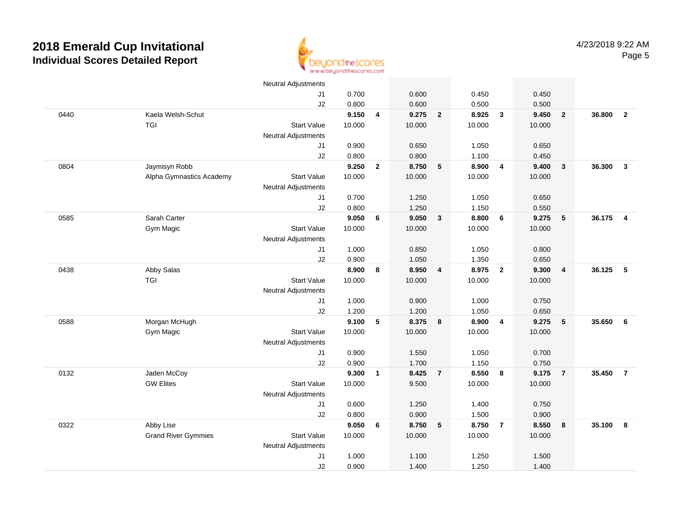

|      |                            | <b>Neutral Adjustments</b> |        |                |        |                         |        |                         |        |                 |        |                          |
|------|----------------------------|----------------------------|--------|----------------|--------|-------------------------|--------|-------------------------|--------|-----------------|--------|--------------------------|
|      |                            | J <sub>1</sub>             | 0.700  |                | 0.600  |                         | 0.450  |                         | 0.450  |                 |        |                          |
|      |                            | J2                         | 0.800  |                | 0.600  |                         | 0.500  |                         | 0.500  |                 |        |                          |
| 0440 | Kaela Welsh-Schut          |                            | 9.150  | $\overline{4}$ | 9.275  | $\overline{\mathbf{2}}$ | 8.925  | $\overline{\mathbf{3}}$ | 9.450  | $\overline{2}$  | 36.800 | $\overline{2}$           |
|      | <b>TGI</b>                 | <b>Start Value</b>         | 10.000 |                | 10.000 |                         | 10.000 |                         | 10.000 |                 |        |                          |
|      |                            | <b>Neutral Adjustments</b> |        |                |        |                         |        |                         |        |                 |        |                          |
|      |                            | J1                         | 0.900  |                | 0.650  |                         | 1.050  |                         | 0.650  |                 |        |                          |
|      |                            | J2                         | 0.800  |                | 0.800  |                         | 1.100  |                         | 0.450  |                 |        |                          |
| 0804 | Jaymisyn Robb              |                            | 9.250  | $\mathbf{2}$   | 8.750  | $5\phantom{1}$          | 8.900  | $\overline{4}$          | 9.400  | $\mathbf{3}$    | 36.300 | $\overline{\mathbf{3}}$  |
|      | Alpha Gymnastics Academy   | <b>Start Value</b>         | 10.000 |                | 10.000 |                         | 10.000 |                         | 10.000 |                 |        |                          |
|      |                            | <b>Neutral Adjustments</b> |        |                |        |                         |        |                         |        |                 |        |                          |
|      |                            | J1                         | 0.700  |                | 1.250  |                         | 1.050  |                         | 0.650  |                 |        |                          |
|      |                            | J2                         | 0.800  |                | 1.250  |                         | 1.150  |                         | 0.550  |                 |        |                          |
| 0585 | Sarah Carter               |                            | 9.050  | 6              | 9.050  | $\mathbf{3}$            | 8.800  | 6                       | 9.275  | $5\phantom{.0}$ | 36.175 | $\overline{4}$           |
|      | Gym Magic                  | <b>Start Value</b>         | 10.000 |                | 10.000 |                         | 10.000 |                         | 10.000 |                 |        |                          |
|      |                            | <b>Neutral Adjustments</b> |        |                |        |                         |        |                         |        |                 |        |                          |
|      |                            | J1                         | 1.000  |                | 0.850  |                         | 1.050  |                         | 0.800  |                 |        |                          |
|      |                            | J2                         | 0.900  |                | 1.050  |                         | 1.350  |                         | 0.650  |                 |        |                          |
| 0438 | Abby Salas                 |                            | 8.900  | 8              | 8.950  | $\overline{4}$          | 8.975  | $\overline{\mathbf{2}}$ | 9.300  | 4               | 36.125 | $\overline{\phantom{0}}$ |
|      | <b>TGI</b>                 | <b>Start Value</b>         | 10.000 |                | 10.000 |                         | 10.000 |                         | 10.000 |                 |        |                          |
|      |                            | Neutral Adjustments        |        |                |        |                         |        |                         |        |                 |        |                          |
|      |                            | J1                         | 1.000  |                | 0.900  |                         | 1.000  |                         | 0.750  |                 |        |                          |
|      |                            | J2                         | 1.200  |                | 1.200  |                         | 1.050  |                         | 0.650  |                 |        |                          |
| 0588 | Morgan McHugh              |                            | 9.100  | 5              | 8.375  | 8                       | 8.900  | $\overline{4}$          | 9.275  | 5               | 35.650 | 6                        |
|      | <b>Gym Magic</b>           | <b>Start Value</b>         | 10.000 |                | 10.000 |                         | 10.000 |                         | 10.000 |                 |        |                          |
|      |                            | <b>Neutral Adjustments</b> |        |                |        |                         |        |                         |        |                 |        |                          |
|      |                            | J1                         | 0.900  |                | 1.550  |                         | 1.050  |                         | 0.700  |                 |        |                          |
|      |                            | J2                         | 0.900  |                | 1.700  |                         | 1.150  |                         | 0.750  |                 |        |                          |
| 0132 | Jaden McCoy                |                            | 9.300  | $\mathbf{1}$   | 8.425  | $\overline{7}$          | 8.550  | 8                       | 9.175  | $\overline{7}$  | 35.450 | $\overline{7}$           |
|      | <b>GW Elites</b>           | <b>Start Value</b>         | 10.000 |                | 9.500  |                         | 10.000 |                         | 10.000 |                 |        |                          |
|      |                            | <b>Neutral Adjustments</b> |        |                |        |                         |        |                         |        |                 |        |                          |
|      |                            | J1                         | 0.600  |                | 1.250  |                         | 1.400  |                         | 0.750  |                 |        |                          |
|      |                            | J2                         | 0.800  |                | 0.900  |                         | 1.500  |                         | 0.900  |                 |        |                          |
| 0322 | Abby Lise                  |                            | 9.050  | 6              | 8.750  | $-5$                    | 8.750  | $\overline{7}$          | 8.550  | 8               | 35.100 | - 8                      |
|      | <b>Grand River Gymmies</b> | <b>Start Value</b>         | 10.000 |                | 10.000 |                         | 10.000 |                         | 10.000 |                 |        |                          |
|      |                            | <b>Neutral Adjustments</b> |        |                |        |                         |        |                         |        |                 |        |                          |
|      |                            | J1                         | 1.000  |                | 1.100  |                         | 1.250  |                         | 1.500  |                 |        |                          |
|      |                            | J2                         | 0.900  |                | 1.400  |                         | 1.250  |                         | 1.400  |                 |        |                          |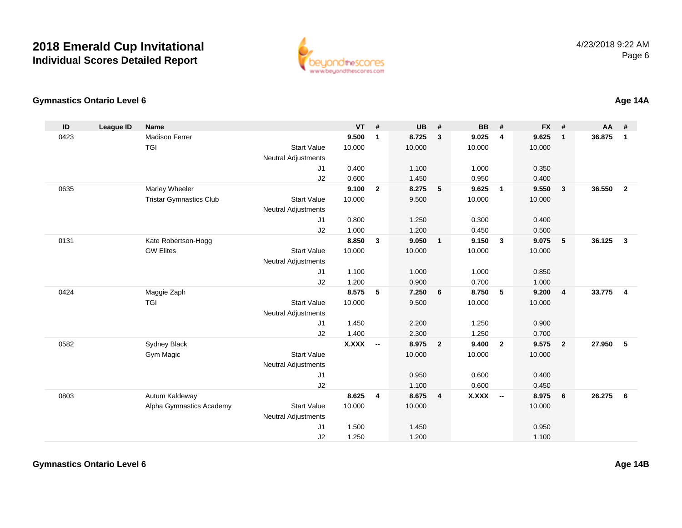

### **Gymnastics Ontario Level 6**

| ID   | <b>League ID</b> | <b>Name</b>                    |                            | <b>VT</b>    | #                        | <b>UB</b> | #                       | <b>BB</b>    | #                        | <b>FX</b> | #                       | <b>AA</b> | #              |
|------|------------------|--------------------------------|----------------------------|--------------|--------------------------|-----------|-------------------------|--------------|--------------------------|-----------|-------------------------|-----------|----------------|
| 0423 |                  | <b>Madison Ferrer</b>          |                            | 9.500        | $\mathbf{1}$             | 8.725     | $\mathbf{3}$            | 9.025        | $\overline{4}$           | 9.625     | $\mathbf{1}$            | 36.875    | $\mathbf{1}$   |
|      |                  | TGI                            | <b>Start Value</b>         | 10.000       |                          | 10.000    |                         | 10.000       |                          | 10.000    |                         |           |                |
|      |                  |                                | <b>Neutral Adjustments</b> |              |                          |           |                         |              |                          |           |                         |           |                |
|      |                  |                                | J1                         | 0.400        |                          | 1.100     |                         | 1.000        |                          | 0.350     |                         |           |                |
|      |                  |                                | J2                         | 0.600        |                          | 1.450     |                         | 0.950        |                          | 0.400     |                         |           |                |
| 0635 |                  | Marley Wheeler                 |                            | 9.100        | $\mathbf{2}$             | 8.275     | $\sqrt{5}$              | 9.625        | $\overline{1}$           | 9.550     | 3                       | 36.550    | $\overline{2}$ |
|      |                  | <b>Tristar Gymnastics Club</b> | <b>Start Value</b>         | 10.000       |                          | 9.500     |                         | 10.000       |                          | 10.000    |                         |           |                |
|      |                  |                                | <b>Neutral Adjustments</b> |              |                          |           |                         |              |                          |           |                         |           |                |
|      |                  |                                | J1                         | 0.800        |                          | 1.250     |                         | 0.300        |                          | 0.400     |                         |           |                |
|      |                  |                                | J2                         | 1.000        |                          | 1.200     |                         | 0.450        |                          | 0.500     |                         |           |                |
| 0131 |                  | Kate Robertson-Hogg            |                            | 8.850        | $\mathbf{3}$             | 9.050     | $\overline{1}$          | 9.150        | -3                       | 9.075     | 5                       | 36.125    | $\mathbf{3}$   |
|      |                  | <b>GW Elites</b>               | <b>Start Value</b>         | 10.000       |                          | 10.000    |                         | 10.000       |                          | 10.000    |                         |           |                |
|      |                  |                                | <b>Neutral Adjustments</b> |              |                          |           |                         |              |                          |           |                         |           |                |
|      |                  |                                | J1                         | 1.100        |                          | 1.000     |                         | 1.000        |                          | 0.850     |                         |           |                |
|      |                  |                                | J2                         | 1.200        |                          | 0.900     |                         | 0.700        |                          | 1.000     |                         |           |                |
| 0424 |                  | Maggie Zaph                    |                            | 8.575        | 5                        | 7.250     | 6                       | 8.750        | 5                        | 9.200     | $\overline{\mathbf{4}}$ | 33.775    | $\overline{4}$ |
|      |                  | <b>TGI</b>                     | <b>Start Value</b>         | 10.000       |                          | 9.500     |                         | 10.000       |                          | 10.000    |                         |           |                |
|      |                  |                                | <b>Neutral Adjustments</b> |              |                          |           |                         |              |                          |           |                         |           |                |
|      |                  |                                | J1                         | 1.450        |                          | 2.200     |                         | 1.250        |                          | 0.900     |                         |           |                |
|      |                  |                                | J2                         | 1.400        |                          | 2.300     |                         | 1.250        |                          | 0.700     |                         |           |                |
| 0582 |                  | Sydney Black                   |                            | <b>X.XXX</b> | $\overline{\phantom{a}}$ | 8.975     | $\overline{\mathbf{2}}$ | 9.400        | $\overline{2}$           | 9.575     | $\overline{2}$          | 27.950    | 5              |
|      |                  | Gym Magic                      | <b>Start Value</b>         |              |                          | 10.000    |                         | 10.000       |                          | 10.000    |                         |           |                |
|      |                  |                                | <b>Neutral Adjustments</b> |              |                          |           |                         |              |                          |           |                         |           |                |
|      |                  |                                | J1                         |              |                          | 0.950     |                         | 0.600        |                          | 0.400     |                         |           |                |
|      |                  |                                | J2                         |              |                          | 1.100     |                         | 0.600        |                          | 0.450     |                         |           |                |
| 0803 |                  | Autum Kaldeway                 |                            | 8.625        | 4                        | 8.675     | $\overline{\mathbf{4}}$ | <b>X.XXX</b> | $\overline{\phantom{a}}$ | 8.975     | 6                       | 26.275    | 6              |
|      |                  | Alpha Gymnastics Academy       | <b>Start Value</b>         | 10.000       |                          | 10.000    |                         |              |                          | 10.000    |                         |           |                |
|      |                  |                                | <b>Neutral Adjustments</b> |              |                          |           |                         |              |                          |           |                         |           |                |
|      |                  |                                | J1                         | 1.500        |                          | 1.450     |                         |              |                          | 0.950     |                         |           |                |
|      |                  |                                | J2                         | 1.250        |                          | 1.200     |                         |              |                          | 1.100     |                         |           |                |

**Age 14A**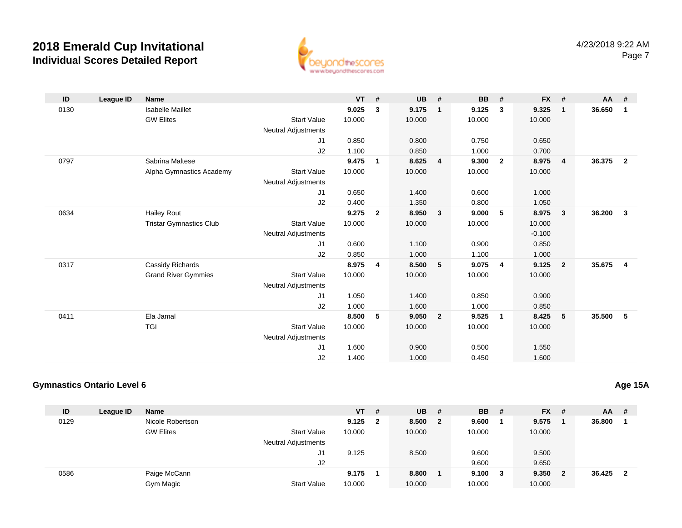

| ID   | League ID | <b>Name</b>                    |                            | <b>VT</b> | #              | <b>UB</b> | #              | <b>BB</b> | #              | $FX$ #   |                         | $AA$ # |                         |
|------|-----------|--------------------------------|----------------------------|-----------|----------------|-----------|----------------|-----------|----------------|----------|-------------------------|--------|-------------------------|
| 0130 |           | <b>Isabelle Maillet</b>        |                            | 9.025     | 3              | 9.175     | $\mathbf{1}$   | 9.125     | 3              | 9.325    | $\mathbf{1}$            | 36.650 | $\blacksquare$          |
|      |           | <b>GW Elites</b>               | <b>Start Value</b>         | 10.000    |                | 10.000    |                | 10.000    |                | 10.000   |                         |        |                         |
|      |           |                                | <b>Neutral Adjustments</b> |           |                |           |                |           |                |          |                         |        |                         |
|      |           |                                | J1                         | 0.850     |                | 0.800     |                | 0.750     |                | 0.650    |                         |        |                         |
|      |           |                                | J2                         | 1.100     |                | 0.850     |                | 1.000     |                | 0.700    |                         |        |                         |
| 0797 |           | Sabrina Maltese                |                            | 9.475     | $\mathbf{1}$   | 8.625     | 4              | 9.300     | $\mathbf{2}$   | 8.975    | $\overline{4}$          | 36.375 | $\overline{\mathbf{2}}$ |
|      |           | Alpha Gymnastics Academy       | <b>Start Value</b>         | 10.000    |                | 10.000    |                | 10.000    |                | 10.000   |                         |        |                         |
|      |           |                                | <b>Neutral Adjustments</b> |           |                |           |                |           |                |          |                         |        |                         |
|      |           |                                | J1                         | 0.650     |                | 1.400     |                | 0.600     |                | 1.000    |                         |        |                         |
|      |           |                                | J2                         | 0.400     |                | 1.350     |                | 0.800     |                | 1.050    |                         |        |                         |
| 0634 |           | <b>Hailey Rout</b>             |                            | 9.275     | $\overline{2}$ | 8.950     | 3              | 9.000     | 5              | 8.975    | 3                       | 36.200 | $\overline{\mathbf{3}}$ |
|      |           | <b>Tristar Gymnastics Club</b> | <b>Start Value</b>         | 10.000    |                | 10.000    |                | 10.000    |                | 10.000   |                         |        |                         |
|      |           |                                | <b>Neutral Adjustments</b> |           |                |           |                |           |                | $-0.100$ |                         |        |                         |
|      |           |                                | J <sub>1</sub>             | 0.600     |                | 1.100     |                | 0.900     |                | 0.850    |                         |        |                         |
|      |           |                                | J2                         | 0.850     |                | 1.000     |                | 1.100     |                | 1.000    |                         |        |                         |
| 0317 |           | Cassidy Richards               |                            | 8.975     | $\overline{4}$ | 8.500     | 5              | 9.075     | $\overline{4}$ | 9.125    | $\overline{\mathbf{2}}$ | 35.675 | $\overline{\mathbf{4}}$ |
|      |           | <b>Grand River Gymmies</b>     | <b>Start Value</b>         | 10.000    |                | 10.000    |                | 10.000    |                | 10.000   |                         |        |                         |
|      |           |                                | Neutral Adjustments        |           |                |           |                |           |                |          |                         |        |                         |
|      |           |                                | J1                         | 1.050     |                | 1.400     |                | 0.850     |                | 0.900    |                         |        |                         |
|      |           |                                | J2                         | 1.000     |                | 1.600     |                | 1.000     |                | 0.850    |                         |        |                         |
| 0411 |           | Ela Jamal                      |                            | 8.500     | 5              | 9.050     | $\overline{2}$ | 9.525     | 1              | 8.425    | 5                       | 35.500 | $-5$                    |
|      |           | <b>TGI</b>                     | <b>Start Value</b>         | 10.000    |                | 10.000    |                | 10.000    |                | 10.000   |                         |        |                         |
|      |           |                                | <b>Neutral Adjustments</b> |           |                |           |                |           |                |          |                         |        |                         |
|      |           |                                | J <sub>1</sub>             | 1.600     |                | 0.900     |                | 0.500     |                | 1.550    |                         |        |                         |
|      |           |                                | J2                         | 1.400     |                | 1.000     |                | 0.450     |                | 1.600    |                         |        |                         |

### **Gymnastics Ontario Level 6**

| ID   | League ID | <b>Name</b>      |                            | $VT$ # |                         | <b>UB</b> | - #                     | <b>BB</b> | #   | <b>FX</b> | -#  | AA.    | -# |
|------|-----------|------------------|----------------------------|--------|-------------------------|-----------|-------------------------|-----------|-----|-----------|-----|--------|----|
| 0129 |           | Nicole Robertson |                            | 9.125  | $\overline{\mathbf{2}}$ | 8.500     | $\overline{\mathbf{2}}$ | 9.600     |     | 9.575     |     | 36.800 |    |
|      |           | <b>GW Elites</b> | <b>Start Value</b>         | 10.000 |                         | 10.000    |                         | 10.000    |     | 10.000    |     |        |    |
|      |           |                  | <b>Neutral Adjustments</b> |        |                         |           |                         |           |     |           |     |        |    |
|      |           |                  | J1                         | 9.125  |                         | 8.500     |                         | 9.600     |     | 9.500     |     |        |    |
|      |           |                  | J2                         |        |                         |           |                         | 9.600     |     | 9.650     |     |        |    |
| 0586 |           | Paige McCann     |                            | 9.175  |                         | 8.800     |                         | 9.100     | - 3 | 9.350     | - 2 | 36.425 | 2  |
|      |           | Gym Magic        | <b>Start Value</b>         | 10.000 |                         | 10.000    |                         | 10.000    |     | 10.000    |     |        |    |

### **Age 15A**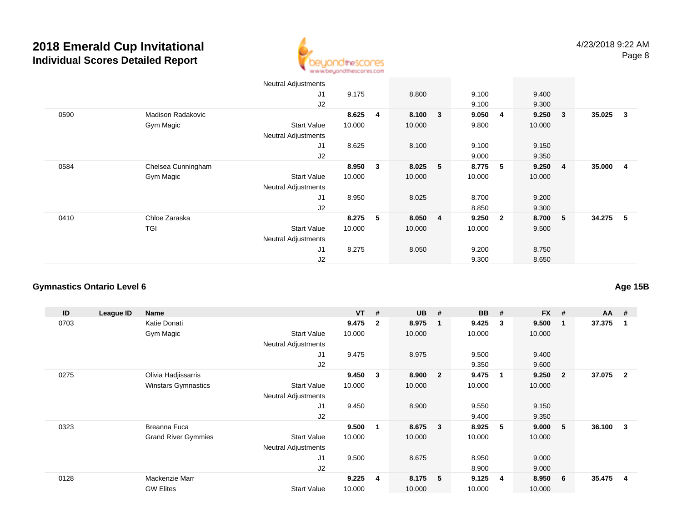

|      |                          | Neutral Adjustments        |        |   |         |              |        |                         |        |                         |        |                         |
|------|--------------------------|----------------------------|--------|---|---------|--------------|--------|-------------------------|--------|-------------------------|--------|-------------------------|
|      |                          | J <sub>1</sub>             | 9.175  |   | 8.800   |              | 9.100  |                         | 9.400  |                         |        |                         |
|      |                          | J2                         |        |   |         |              | 9.100  |                         | 9.300  |                         |        |                         |
| 0590 | <b>Madison Radakovic</b> |                            | 8.625  | 4 | 8.100   | $\mathbf{3}$ | 9.050  | 4                       | 9.250  | $\overline{\mathbf{3}}$ | 35.025 | $\mathbf{3}$            |
|      | Gym Magic                | <b>Start Value</b>         | 10.000 |   | 10.000  |              | 9.800  |                         | 10.000 |                         |        |                         |
|      |                          | <b>Neutral Adjustments</b> |        |   |         |              |        |                         |        |                         |        |                         |
|      |                          | J <sub>1</sub>             | 8.625  |   | 8.100   |              | 9.100  |                         | 9.150  |                         |        |                         |
|      |                          | J2                         |        |   |         |              | 9.000  |                         | 9.350  |                         |        |                         |
| 0584 | Chelsea Cunningham       |                            | 8.950  | 3 | 8.025   | 5            | 8.775  | 5                       | 9.250  | $\overline{4}$          | 35.000 | $\overline{\mathbf{4}}$ |
|      | Gym Magic                | <b>Start Value</b>         | 10.000 |   | 10.000  |              | 10.000 |                         | 10.000 |                         |        |                         |
|      |                          | <b>Neutral Adjustments</b> |        |   |         |              |        |                         |        |                         |        |                         |
|      |                          | J <sub>1</sub>             | 8.950  |   | 8.025   |              | 8.700  |                         | 9.200  |                         |        |                         |
|      |                          | J2                         |        |   |         |              | 8.850  |                         | 9.300  |                         |        |                         |
| 0410 | Chloe Zaraska            |                            | 8.275  | 5 | 8.050 4 |              | 9.250  | $\overline{\mathbf{2}}$ | 8.700  | 5                       | 34.275 | - 5                     |
|      | TGI                      | <b>Start Value</b>         | 10.000 |   | 10.000  |              | 10.000 |                         | 9.500  |                         |        |                         |
|      |                          | <b>Neutral Adjustments</b> |        |   |         |              |        |                         |        |                         |        |                         |
|      |                          | J <sub>1</sub>             | 8.275  |   | 8.050   |              | 9.200  |                         | 8.750  |                         |        |                         |
|      |                          | J2                         |        |   |         |              | 9.300  |                         | 8.650  |                         |        |                         |

### **Gymnastics Ontario Level 6**

| ID   | League ID | Name                       |                            | <b>VT</b> | #              | <b>UB</b> | #                       | <b>BB</b> | #                       | <b>FX</b> | #              | $AA$ # |                |
|------|-----------|----------------------------|----------------------------|-----------|----------------|-----------|-------------------------|-----------|-------------------------|-----------|----------------|--------|----------------|
| 0703 |           | Katie Donati               |                            | 9.475     | $\overline{2}$ | 8.975     | -1                      | 9.425     | 3                       | 9.500     |                | 37.375 | 1              |
|      |           | Gym Magic                  | <b>Start Value</b>         | 10.000    |                | 10.000    |                         | 10.000    |                         | 10.000    |                |        |                |
|      |           |                            | <b>Neutral Adjustments</b> |           |                |           |                         |           |                         |           |                |        |                |
|      |           |                            | J <sub>1</sub>             | 9.475     |                | 8.975     |                         | 9.500     |                         | 9.400     |                |        |                |
|      |           |                            | J <sub>2</sub>             |           |                |           |                         | 9.350     |                         | 9.600     |                |        |                |
| 0275 |           | Olivia Hadjissarris        |                            | 9.450     | 3              | 8.900     | $\overline{\mathbf{2}}$ | 9.475     | $\overline{\mathbf{1}}$ | 9.250     | $\overline{2}$ | 37.075 | $\overline{2}$ |
|      |           | <b>Winstars Gymnastics</b> | <b>Start Value</b>         | 10.000    |                | 10.000    |                         | 10.000    |                         | 10.000    |                |        |                |
|      |           |                            | <b>Neutral Adjustments</b> |           |                |           |                         |           |                         |           |                |        |                |
|      |           |                            | J1                         | 9.450     |                | 8.900     |                         | 9.550     |                         | 9.150     |                |        |                |
|      |           |                            | J <sub>2</sub>             |           |                |           |                         | 9.400     |                         | 9.350     |                |        |                |
| 0323 |           | Breanna Fuca               |                            | 9.500     | -1             | 8.675     | $\overline{\mathbf{3}}$ | 8.925     | -5                      | 9.000     | 5              | 36.100 | 3              |
|      |           | <b>Grand River Gymmies</b> | <b>Start Value</b>         | 10.000    |                | 10.000    |                         | 10.000    |                         | 10.000    |                |        |                |
|      |           |                            | <b>Neutral Adjustments</b> |           |                |           |                         |           |                         |           |                |        |                |
|      |           |                            | J <sub>1</sub>             | 9.500     |                | 8.675     |                         | 8.950     |                         | 9.000     |                |        |                |
|      |           |                            | J2                         |           |                |           |                         | 8.900     |                         | 9.000     |                |        |                |
| 0128 |           | Mackenzie Marr             |                            | 9.225     | -4             | 8.175     | $-5$                    | 9.125     | -4                      | 8.950     | 6              | 35.475 | 4              |
|      |           | <b>GW Elites</b>           | <b>Start Value</b>         | 10.000    |                | 10.000    |                         | 10.000    |                         | 10.000    |                |        |                |

**Age 15B**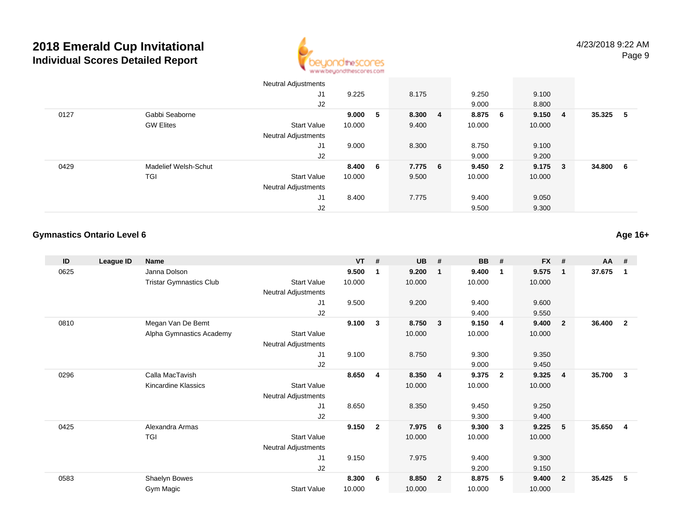

|      |                      | Neutral Adjustments        |        |                 |       |     |        |                |        |                |          |  |
|------|----------------------|----------------------------|--------|-----------------|-------|-----|--------|----------------|--------|----------------|----------|--|
|      |                      | J <sub>1</sub>             | 9.225  |                 | 8.175 |     | 9.250  |                | 9.100  |                |          |  |
|      |                      | J <sub>2</sub>             |        |                 |       |     | 9.000  |                | 8.800  |                |          |  |
| 0127 | Gabbi Seaborne       |                            | 9.000  | $-5$            | 8.300 | - 4 | 8.875  | 6              | 9.150  | $\overline{4}$ | 35.325 5 |  |
|      | <b>GW Elites</b>     | <b>Start Value</b>         | 10.000 |                 | 9.400 |     | 10.000 |                | 10.000 |                |          |  |
|      |                      | <b>Neutral Adjustments</b> |        |                 |       |     |        |                |        |                |          |  |
|      |                      | J <sub>1</sub>             | 9.000  |                 | 8.300 |     | 8.750  |                | 9.100  |                |          |  |
|      |                      | J2                         |        |                 |       |     | 9.000  |                | 9.200  |                |          |  |
| 0429 | Madelief Welsh-Schut |                            | 8.400  | $6\overline{6}$ | 7.775 | - 6 | 9.450  | $\overline{2}$ | 9.175  | $\mathbf{3}$   | 34.800 6 |  |
|      | TGI                  | Start Value                | 10.000 |                 | 9.500 |     | 10.000 |                | 10.000 |                |          |  |
|      |                      | <b>Neutral Adjustments</b> |        |                 |       |     |        |                |        |                |          |  |
|      |                      | J <sub>1</sub>             | 8.400  |                 | 7.775 |     | 9.400  |                | 9.050  |                |          |  |
|      |                      | J <sub>2</sub>             |        |                 |       |     | 9.500  |                | 9.300  |                |          |  |

### **Gymnastics Ontario Level 6**

**Age 16+**

| <b>FX</b><br>#          | <b>AA</b><br>#           |
|-------------------------|--------------------------|
| 9.575<br>$\mathbf{1}$   | 37.675<br>1              |
| 10.000                  |                          |
|                         |                          |
| 9.600                   |                          |
| 9.550                   |                          |
| 9.400<br>$\overline{2}$ | 36.400<br>$\overline{2}$ |
| 10.000                  |                          |
|                         |                          |
| 9.350                   |                          |
| 9.450                   |                          |
| 9.325<br>-4             | 35.700<br>3              |
| 10.000                  |                          |
|                         |                          |
| 9.250                   |                          |
| 9.400                   |                          |
| 9.225<br>-5             | 35.650<br>$\overline{4}$ |
| 10.000                  |                          |
|                         |                          |
| 9.300                   |                          |
| 9.150                   |                          |
| 9.400<br>$\overline{2}$ | 35.425<br>5              |
| 10.000                  |                          |
|                         |                          |